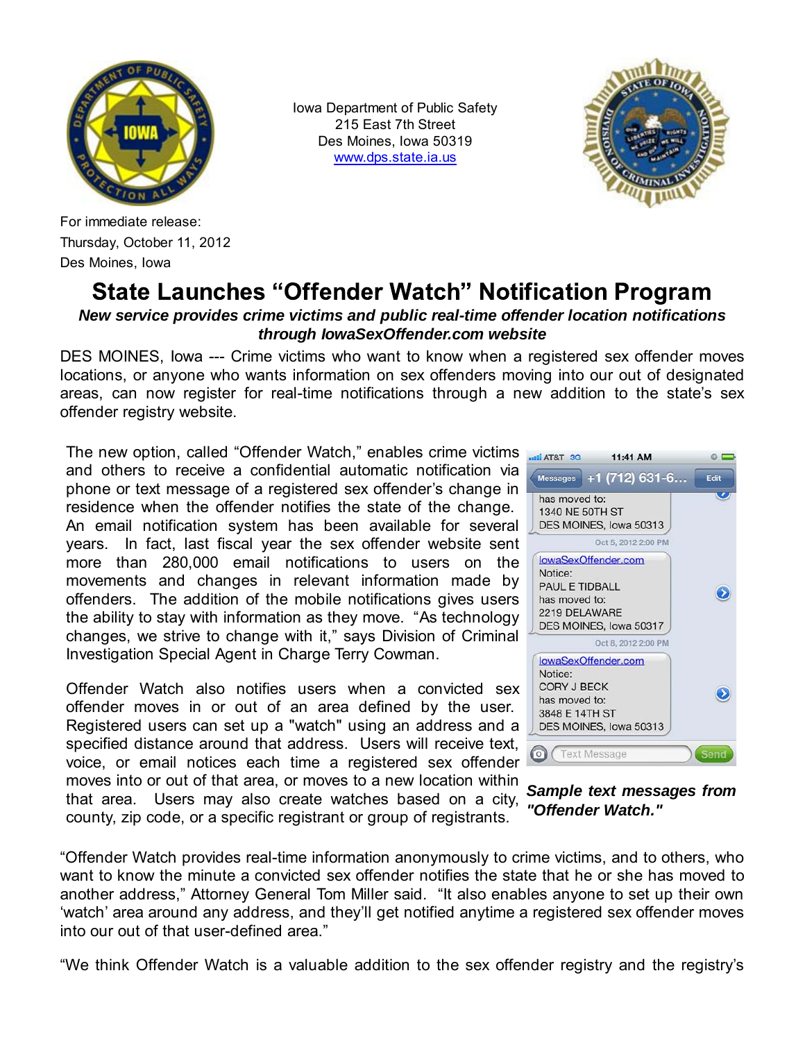

Iowa Department of Public Safety 215 East 7th Street Des Moines, Iowa 50319 www.dps.state.ia.us



For immediate release: Thursday, October 11, 2012 Des Moines, Iowa

## **State Launches "Offender Watch" Notification Program**

## *New service provides crime victims and public real-time offender location notifications through IowaSexOffender.com website*

DES MOINES, Iowa --- Crime victims who want to know when a registered sex offender moves locations, or anyone who wants information on sex offenders moving into our out of designated areas, can now register for real-time notifications through a new addition to the state's sex offender registry website.

The new option, called "Offender Watch," enables crime victims and others to receive a confidential automatic notification via phone or text message of a registered sex offender's change in residence when the offender notifies the state of the change. An email notification system has been available for several years. In fact, last fiscal year the sex offender website sent more than 280,000 email notifications to users on the movements and changes in relevant information made by offenders. The addition of the mobile notifications gives users the ability to stay with information as they move. "As technology changes, we strive to change with it," says Division of Criminal Investigation Special Agent in Charge Terry Cowman.

Offender Watch also notifies users when a convicted sex offender moves in or out of an area defined by the user. Registered users can set up a "watch" using an address and a specified distance around that address. Users will receive text, voice, or email notices each time a registered sex offender moves into or out of that area, or moves to a new location within that area. Users may also create watches based on a city, county, zip code, or a specific registrant or group of registrants.



*Sample text messages from "Offender Watch."*

"Offender Watch provides real-time information anonymously to crime victims, and to others, who want to know the minute a convicted sex offender notifies the state that he or she has moved to another address," Attorney General Tom Miller said. "It also enables anyone to set up their own 'watch' area around any address, and they'll get notified anytime a registered sex offender moves into our out of that user-defined area."

"We think Offender Watch is a valuable addition to the sex offender registry and the registry's